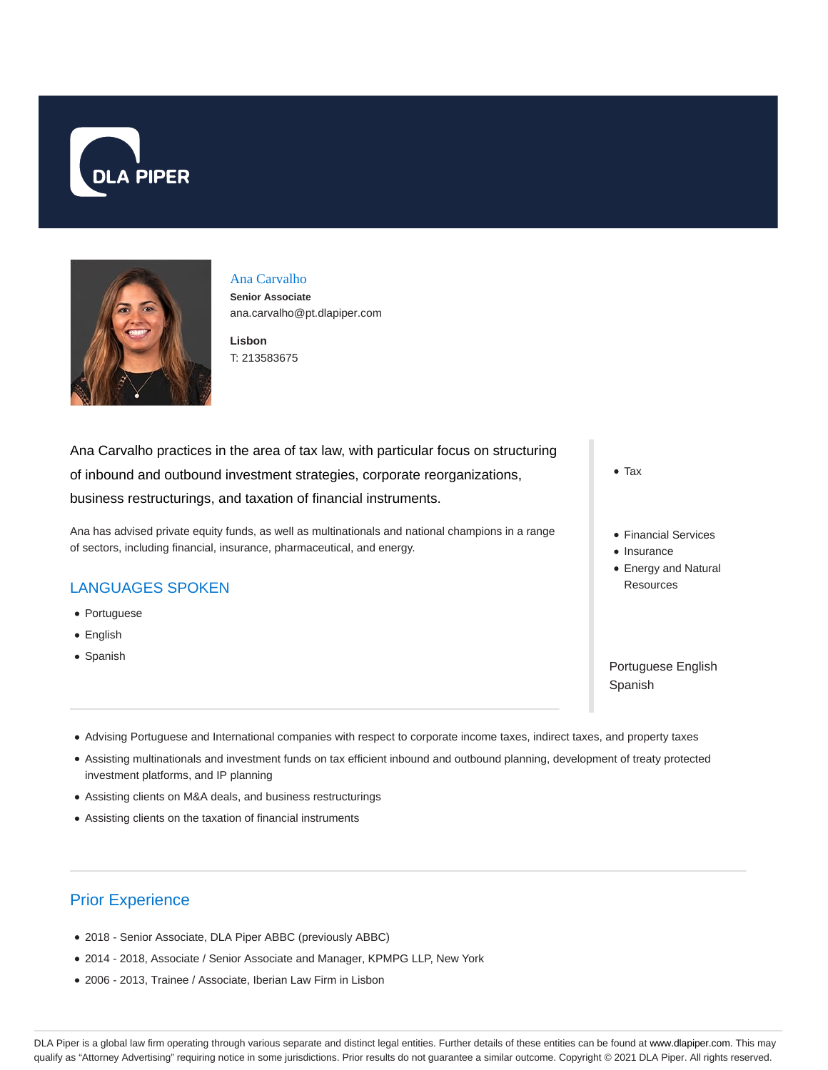



# Ana Carvalho

**Senior Associate** ana.carvalho@pt.dlapiper.com

**Lisbon** T: 213583675

Ana Carvalho practices in the area of tax law, with particular focus on structuring of inbound and outbound investment strategies, corporate reorganizations, business restructurings, and taxation of financial instruments.

Ana has advised private equity funds, as well as multinationals and national champions in a range of sectors, including financial, insurance, pharmaceutical, and energy.

#### LANGUAGES SPOKEN

- Portuguese
- English
- Spanish
- Tax
- Financial Services
- Insurance
- Energy and Natural **Resources**

Portuguese English Spanish

- Advising Portuguese and International companies with respect to corporate income taxes, indirect taxes, and property taxes
- Assisting multinationals and investment funds on tax efficient inbound and outbound planning, development of treaty protected investment platforms, and IP planning
- Assisting clients on M&A deals, and business restructurings
- Assisting clients on the taxation of financial instruments

## Prior Experience

- 2018 Senior Associate, DLA Piper ABBC (previously ABBC)
- 2014 2018, Associate / Senior Associate and Manager, KPMPG LLP, New York
- 2006 2013, Trainee / Associate, Iberian Law Firm in Lisbon

DLA Piper is a global law firm operating through various separate and distinct legal entities. Further details of these entities can be found at www.dlapiper.com. This may qualify as "Attorney Advertising" requiring notice in some jurisdictions. Prior results do not guarantee a similar outcome. Copyright © 2021 DLA Piper. All rights reserved.